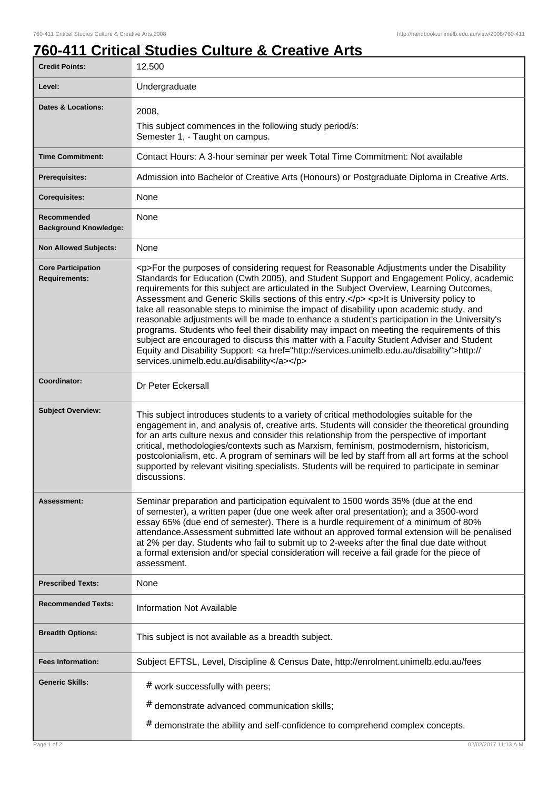## **760-411 Critical Studies Culture & Creative Arts**

| <b>Credit Points:</b>                             | 12.500                                                                                                                                                                                                                                                                                                                                                                                                                                                                                                                                                                                                                                                                                                                                                                                                                                                                                                                       |
|---------------------------------------------------|------------------------------------------------------------------------------------------------------------------------------------------------------------------------------------------------------------------------------------------------------------------------------------------------------------------------------------------------------------------------------------------------------------------------------------------------------------------------------------------------------------------------------------------------------------------------------------------------------------------------------------------------------------------------------------------------------------------------------------------------------------------------------------------------------------------------------------------------------------------------------------------------------------------------------|
| Level:                                            | Undergraduate                                                                                                                                                                                                                                                                                                                                                                                                                                                                                                                                                                                                                                                                                                                                                                                                                                                                                                                |
| <b>Dates &amp; Locations:</b>                     | 2008,<br>This subject commences in the following study period/s:<br>Semester 1, - Taught on campus.                                                                                                                                                                                                                                                                                                                                                                                                                                                                                                                                                                                                                                                                                                                                                                                                                          |
| <b>Time Commitment:</b>                           | Contact Hours: A 3-hour seminar per week Total Time Commitment: Not available                                                                                                                                                                                                                                                                                                                                                                                                                                                                                                                                                                                                                                                                                                                                                                                                                                                |
| <b>Prerequisites:</b>                             | Admission into Bachelor of Creative Arts (Honours) or Postgraduate Diploma in Creative Arts.                                                                                                                                                                                                                                                                                                                                                                                                                                                                                                                                                                                                                                                                                                                                                                                                                                 |
| <b>Corequisites:</b>                              | None                                                                                                                                                                                                                                                                                                                                                                                                                                                                                                                                                                                                                                                                                                                                                                                                                                                                                                                         |
| Recommended<br><b>Background Knowledge:</b>       | None                                                                                                                                                                                                                                                                                                                                                                                                                                                                                                                                                                                                                                                                                                                                                                                                                                                                                                                         |
| <b>Non Allowed Subjects:</b>                      | None                                                                                                                                                                                                                                                                                                                                                                                                                                                                                                                                                                                                                                                                                                                                                                                                                                                                                                                         |
| <b>Core Participation</b><br><b>Requirements:</b> | <p>For the purposes of considering request for Reasonable Adjustments under the Disability<br/>Standards for Education (Cwth 2005), and Student Support and Engagement Policy, academic<br/>requirements for this subject are articulated in the Subject Overview, Learning Outcomes,<br/>Assessment and Generic Skills sections of this entry.</p> <p>lt is University policy to<br/>take all reasonable steps to minimise the impact of disability upon academic study, and<br/>reasonable adjustments will be made to enhance a student's participation in the University's<br/>programs. Students who feel their disability may impact on meeting the requirements of this<br/>subject are encouraged to discuss this matter with a Faculty Student Adviser and Student<br/>Equity and Disability Support: &lt; a href="http://services.unimelb.edu.au/disability"&gt;http://<br/>services.unimelb.edu.au/disability</p> |
| Coordinator:                                      | Dr Peter Eckersall                                                                                                                                                                                                                                                                                                                                                                                                                                                                                                                                                                                                                                                                                                                                                                                                                                                                                                           |
| <b>Subject Overview:</b>                          | This subject introduces students to a variety of critical methodologies suitable for the<br>engagement in, and analysis of, creative arts. Students will consider the theoretical grounding<br>for an arts culture nexus and consider this relationship from the perspective of important<br>critical, methodologies/contexts such as Marxism, feminism, postmodernism, historicism,<br>postcolonialism, etc. A program of seminars will be led by staff from all art forms at the school<br>supported by relevant visiting specialists. Students will be required to participate in seminar<br>discussions.                                                                                                                                                                                                                                                                                                                 |
| Assessment:                                       | Seminar preparation and participation equivalent to 1500 words 35% (due at the end<br>of semester), a written paper (due one week after oral presentation); and a 3500-word<br>essay 65% (due end of semester). There is a hurdle requirement of a minimum of 80%<br>attendance. Assessment submitted late without an approved formal extension will be penalised<br>at 2% per day. Students who fail to submit up to 2-weeks after the final due date without<br>a formal extension and/or special consideration will receive a fail grade for the piece of<br>assessment.                                                                                                                                                                                                                                                                                                                                                  |
| <b>Prescribed Texts:</b>                          | None                                                                                                                                                                                                                                                                                                                                                                                                                                                                                                                                                                                                                                                                                                                                                                                                                                                                                                                         |
| <b>Recommended Texts:</b>                         | <b>Information Not Available</b>                                                                                                                                                                                                                                                                                                                                                                                                                                                                                                                                                                                                                                                                                                                                                                                                                                                                                             |
| <b>Breadth Options:</b>                           | This subject is not available as a breadth subject.                                                                                                                                                                                                                                                                                                                                                                                                                                                                                                                                                                                                                                                                                                                                                                                                                                                                          |
| <b>Fees Information:</b>                          | Subject EFTSL, Level, Discipline & Census Date, http://enrolment.unimelb.edu.au/fees                                                                                                                                                                                                                                                                                                                                                                                                                                                                                                                                                                                                                                                                                                                                                                                                                                         |
| <b>Generic Skills:</b>                            | # work successfully with peers;                                                                                                                                                                                                                                                                                                                                                                                                                                                                                                                                                                                                                                                                                                                                                                                                                                                                                              |
|                                                   | # demonstrate advanced communication skills;                                                                                                                                                                                                                                                                                                                                                                                                                                                                                                                                                                                                                                                                                                                                                                                                                                                                                 |
|                                                   | # demonstrate the ability and self-confidence to comprehend complex concepts.                                                                                                                                                                                                                                                                                                                                                                                                                                                                                                                                                                                                                                                                                                                                                                                                                                                |
| Page 1 of 2                                       | 02/02/2017 11:13 A.M.                                                                                                                                                                                                                                                                                                                                                                                                                                                                                                                                                                                                                                                                                                                                                                                                                                                                                                        |